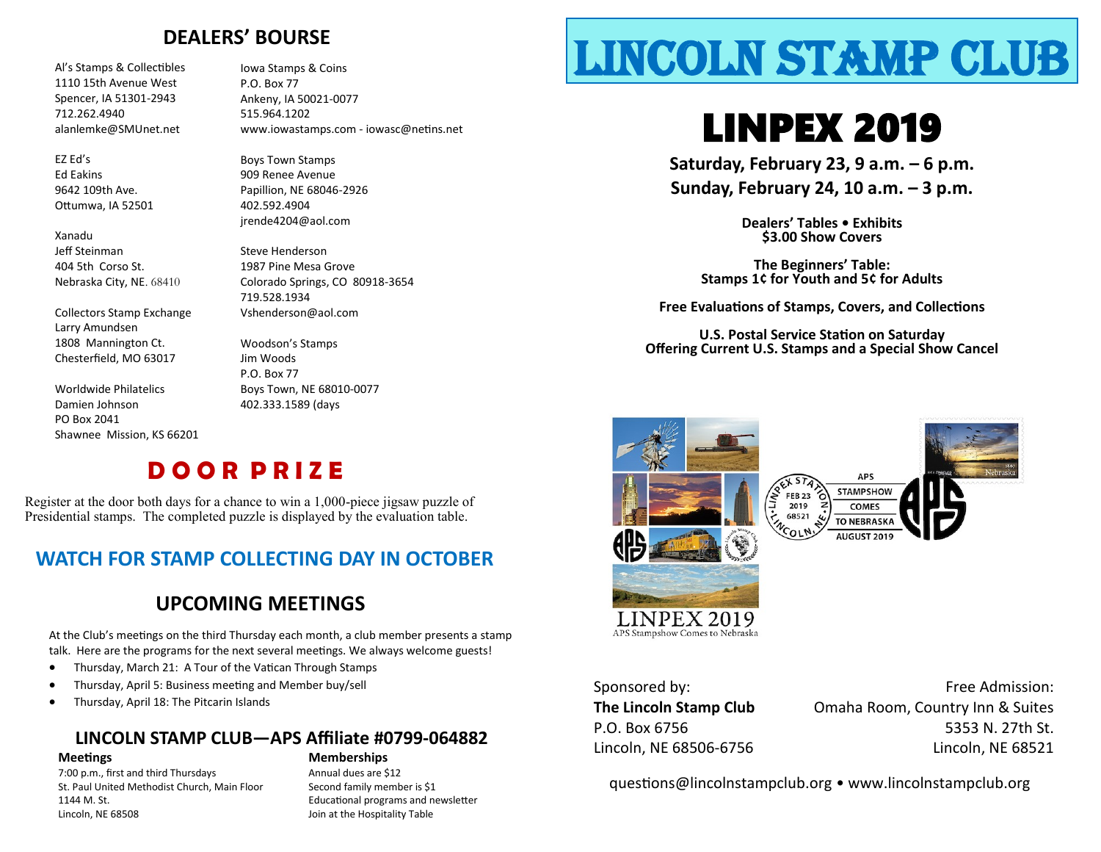### **DEALERS' BOURSE**

1110 15th Avenue West Spencer, IA 51301-2943 712.262.4940 alanlemke@SMUnet.net

EZ Ed's Ed Eakins 9642 109th Ave. Ottumwa, IA 52501

Xanadu Jeff Steinman 404 5th Corso St. Nebraska City, NE. 68410

Collectors Stamp Exchange Larry Amundsen 1808 Mannington Ct. Chesterfield, MO 63017

Worldwide Philatelics Damien Johnson PO Box 2041 Shawnee Mission, KS 66201 Iowa Stamps & Coins P.O. Box 77 Ankeny, IA 50021-0077 515.964.1202 www.iowastamps.com - iowasc@netins.net

Boys Town Stamps 909 Renee Avenue Papillion, NE 68046-2926 402.592.4904 jrende4204@aol.com

Steve Henderson 1987 Pine Mesa Grove Colorado Springs, CO 80918-3654 719.528.1934 Vshenderson@aol.com

Woodson's Stamps Jim Woods P.O. Box 77 Boys Town, NE 68010-0077 402.333.1589 (days

## **D O O R P R I Z E**

Register at the door both days for a chance to win a 1,000-piece jigsaw puzzle of Presidential stamps. The completed puzzle is displayed by the evaluation table.

### **WATCH FOR STAMP COLLECTING DAY IN OCTOBER**

### **UPCOMING MEETINGS**

At the Club's meetings on the third Thursday each month, a club member presents a stamp talk. Here are the programs for the next several meetings. We always welcome guests!

- Thursday, March 21: A Tour of the Vatican Through Stamps
- Thursday, April 5: Business meeting and Member buy/sell
- Thursday, April 18: The Pitcarin Islands

### **LINCOLN STAMP CLUB—APS Affiliate #0799-064882**

#### **Meetings Memberships**

7:00 p.m., first and third Thursdays Annual dues are \$12 St. Paul United Methodist Church, Main Floor Second family member is \$1 1144 M. St. Educational programs and newsletter Lincoln, NE 68508 Join at the Hospitality Table

# Al's Stamps & Collectibles Lincoln Stamps & Coins **LINCOLN STAMP CLUB**

# LINPEX 2019

**Saturday, February 23, 9 a.m. – 6 p.m. Sunday, February 24, 10 a.m. – 3 p.m.**

> **Dealers' Tables • Exhibits \$3.00 Show Covers**

**The Beginners' Table: Stamps 1¢ for Youth and 5¢ for Adults**

**Free Evaluations of Stamps, Covers, and Collections**

**U.S. Postal Service Station on Saturday Offering Current U.S. Stamps and a Special Show Cancel**





APS Stampshow Comes to Nebraska

Sponsored by: **The Lincoln Stamp Club** P.O. Box 6756 Lincoln, NE 68506-6756

Free Admission: Omaha Room, Country Inn & Suites 5353 N. 27th St. Lincoln, NE 68521

questions@lincolnstampclub.org • www.lincolnstampclub.org